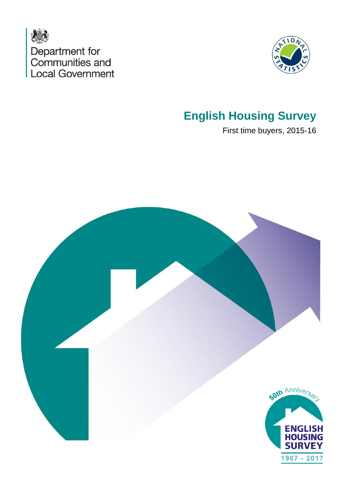



## **English Housing Survey**

First time buyers, 2015-16

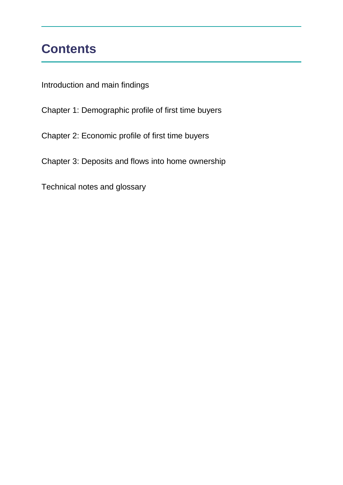## **Contents**

Introduction and main findings

Chapter 1: Demographic profile of first time buyers

Chapter 2: Economic profile of first time buyers

Chapter 3: Deposits and flows into home ownership

Technical notes and glossary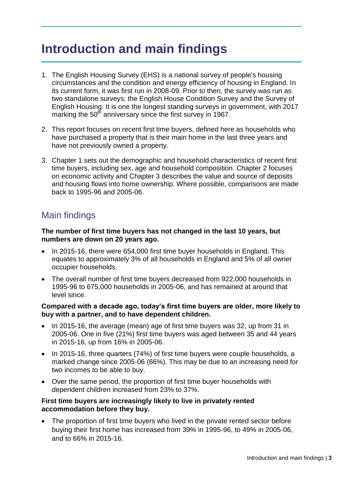## **Introduction and main findings**

- 1. The English Housing Survey (EHS) is a national survey of people's housing circumstances and the condition and energy efficiency of housing in England. In its current form, it was first run in 2008-09. Prior to then, the survey was run as two standalone surveys: the English House Condition Survey and the Survey of English Housing. It is one the longest standing surveys in government, with 2017 marking the  $50<sup>th</sup>$  anniversary since the first survey in 1967.
- 2. This report focuses on recent first time buyers, defined here as households who have purchased a property that is their main home in the last three years and have not previously owned a property.
- 3. Chapter 1 sets out the demographic and household characteristics of recent first time buyers, including sex, age and household composition. Chapter 2 focuses on economic activity and Chapter 3 describes the value and source of deposits and housing flows into home ownership. Where possible, comparisons are made back to 1995-96 and 2005-06.

### Main findings

#### **The number of first time buyers has not changed in the last 10 years, but numbers are down on 20 years ago.**

- In 2015-16, there were 654,000 first time buyer households in England. This equates to approximately 3% of all households in England and 5% of all owner occupier households.
- The overall number of first time buyers decreased from 922,000 households in 1995-96 to 675,000 households in 2005-06, and has remained at around that level since.

#### **Compared with a decade ago, today's first time buyers are older, more likely to buy with a partner, and to have dependent children.**

- In 2015-16, the average (mean) age of first time buyers was 32, up from 31 in 2005-06. One in five (21%) first time buyers was aged between 35 and 44 years in 2015-16, up from 16% in 2005-06.
- In 2015-16, three quarters (74%) of first time buyers were couple households, a marked change since 2005-06 (66%). This may be due to an increasing need for two incomes to be able to buy.
- Over the same period, the proportion of first time buyer households with dependent children increased from 23% to 37%.

#### **First time buyers are increasingly likely to live in privately rented accommodation before they buy.**

• The proportion of first time buyers who lived in the private rented sector before buying their first home has increased from 39% in 1995-96, to 49% in 2005-06, and to 66% in 2015-16.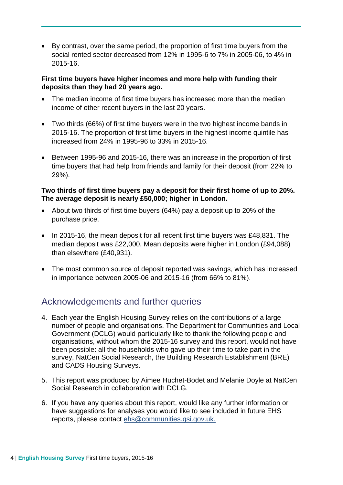By contrast, over the same period, the proportion of first time buyers from the social rented sector decreased from 12% in 1995-6 to 7% in 2005-06, to 4% in 2015-16.

#### **First time buyers have higher incomes and more help with funding their deposits than they had 20 years ago.**

- The median income of first time buyers has increased more than the median income of other recent buyers in the last 20 years.
- Two thirds (66%) of first time buyers were in the two highest income bands in 2015-16. The proportion of first time buyers in the highest income quintile has increased from 24% in 1995-96 to 33% in 2015-16.
- Between 1995-96 and 2015-16, there was an increase in the proportion of first time buyers that had help from friends and family for their deposit (from 22% to 29%).

#### **Two thirds of first time buyers pay a deposit for their first home of up to 20%. The average deposit is nearly £50,000; higher in London.**

- About two thirds of first time buyers (64%) pay a deposit up to 20% of the purchase price.
- In 2015-16, the mean deposit for all recent first time buyers was £48,831. The median deposit was £22,000. Mean deposits were higher in London (£94,088) than elsewhere (£40,931).
- The most common source of deposit reported was savings, which has increased in importance between 2005-06 and 2015-16 (from 66% to 81%).

### Acknowledgements and further queries

- 4. Each year the English Housing Survey relies on the contributions of a large number of people and organisations. The Department for Communities and Local Government (DCLG) would particularly like to thank the following people and organisations, without whom the 2015-16 survey and this report, would not have been possible: all the households who gave up their time to take part in the survey, NatCen Social Research, the Building Research Establishment (BRE) and CADS Housing Surveys.
- 5. This report was produced by Aimee Huchet-Bodet and Melanie Doyle at NatCen Social Research in collaboration with DCLG.
- 6. If you have any queries about this report, would like any further information or have suggestions for analyses you would like to see included in future EHS reports, please contact [ehs@communities.gsi.gov.uk.](mailto:ehs@communities.gsi.gov.uk)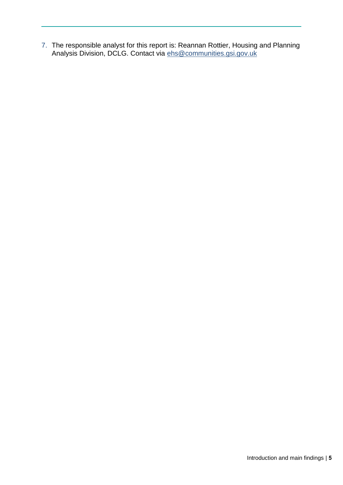7. The responsible analyst for this report is: Reannan Rottier, Housing and Planning Analysis Division, DCLG. Contact via [ehs@communities.gsi.gov.uk](mailto:ehs@communities.gsi.gov.uk)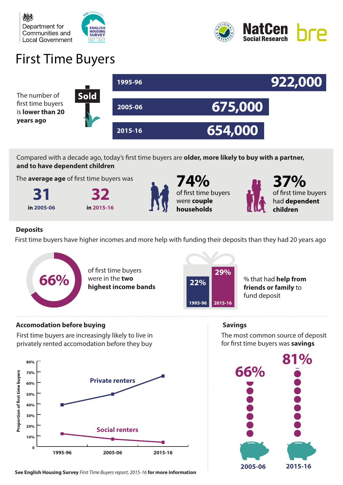



# First Time Buyers



Compared with a decade ago, today's first time buyers are **older, more likely to buy with a partner, and to have dependent children**

The **average age** of first time buyers was

**31 32 in 2005-06 in 2015-16**





**74%** of first time buyers were **couple households**



**37%** of first time buyers had **dependent children**

#### **Deposits**

First time buyers have higher incomes and more help with funding their deposits than they had 20 years ago



of first time buyers were in the **two highest income bands**



% that had **help from friends or family** to fund deposit

#### **Accomodation before buying**

First time buyers are increasingly likely to live in privately rented accomodation before they buy



**See English Housing Survey** *First Time Buyers report, 2015-16* **for more information**

**Savings**

The most common source of deposit for first time buyers was **savings** 

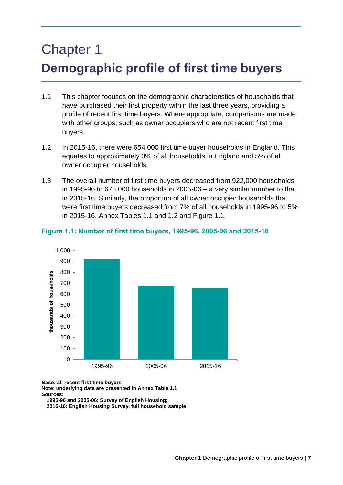# Chapter 1 **Demographic profile of first time buyers**

- 1.1 This chapter focuses on the demographic characteristics of households that have purchased their first property within the last three years, providing a profile of recent first time buyers. Where appropriate, comparisons are made with other groups, such as owner occupiers who are not recent first time buyers.
- 1.2 In 2015-16, there were 654,000 first time buyer households in England. This equates to approximately 3% of all households in England and 5% of all owner occupier households.
- 1.3 The overall number of first time buyers decreased from 922,000 households in 1995-96 to 675,000 households in 2005-06 – a very similar number to that in 2015-16. Similarly, the proportion of all owner occupier households that were first time buyers decreased from 7% of all households in 1995-96 to 5% in 2015-16, Annex Tables 1.1 and 1.2 and Figure 1.1.



#### **Figure 1.1: Number of first time buyers, 1995-96, 2005-06 and 2015-16**

**Base: all recent first time buyers** 

**Note: underlying data are presented in Annex Table 1.1 Sources:** 

**1995-96 and 2005-06: Survey of English Housing;**

**2015-16: English Housing Survey, full household sample**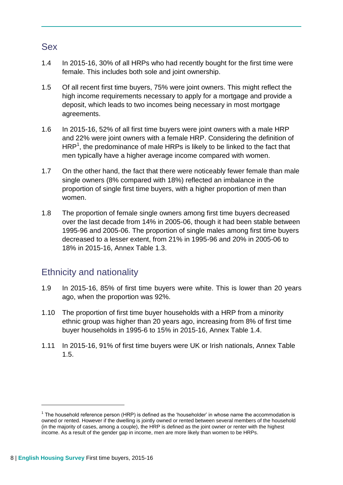#### Sex

- 1.4 In 2015-16, 30% of all HRPs who had recently bought for the first time were female. This includes both sole and joint ownership.
- 1.5 Of all recent first time buyers, 75% were joint owners. This might reflect the high income requirements necessary to apply for a mortgage and provide a deposit, which leads to two incomes being necessary in most mortgage agreements.
- 1.6 In 2015-16, 52% of all first time buyers were joint owners with a male HRP and 22% were joint owners with a female HRP. Considering the definition of HRP<sup>1</sup>, the predominance of male HRPs is likely to be linked to the fact that men typically have a higher average income compared with women.
- 1.7 On the other hand, the fact that there were noticeably fewer female than male single owners (8% compared with 18%) reflected an imbalance in the proportion of single first time buyers, with a higher proportion of men than women.
- 1.8 The proportion of female single owners among first time buyers decreased over the last decade from 14% in 2005-06, though it had been stable between 1995-96 and 2005-06. The proportion of single males among first time buyers decreased to a lesser extent, from 21% in 1995-96 and 20% in 2005-06 to 18% in 2015-16, Annex Table 1.3.

### Ethnicity and nationality

- 1.9 In 2015-16, 85% of first time buyers were white. This is lower than 20 years ago, when the proportion was 92%.
- 1.10 The proportion of first time buyer households with a HRP from a minority ethnic group was higher than 20 years ago, increasing from 8% of first time buyer households in 1995-6 to 15% in 2015-16, Annex Table 1.4.
- 1.11 In 2015-16, 91% of first time buyers were UK or Irish nationals, Annex Table 1.5.

1

 $1$  The household reference person (HRP) is defined as the 'householder' in whose name the accommodation is owned or rented. However if the dwelling is jointly owned or rented between several members of the household (in the majority of cases, among a couple), the HRP is defined as the joint owner or renter with the highest income. As a result of the gender gap in income, men are more likely than women to be HRPs.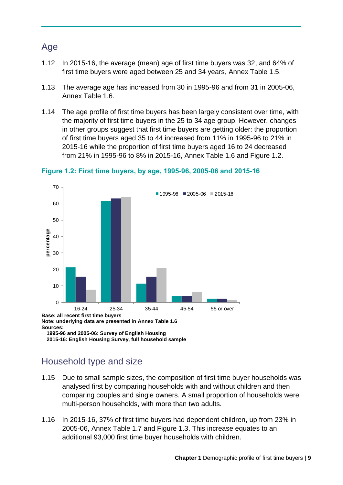### Age

- 1.12 In 2015-16, the average (mean) age of first time buyers was 32, and 64% of first time buyers were aged between 25 and 34 years, Annex Table 1.5.
- 1.13 The average age has increased from 30 in 1995-96 and from 31 in 2005-06, Annex Table 1.6.
- 1.14 The age profile of first time buyers has been largely consistent over time, with the majority of first time buyers in the 25 to 34 age group. However, changes in other groups suggest that first time buyers are getting older: the proportion of first time buyers aged 35 to 44 increased from 11% in 1995-96 to 21% in 2015-16 while the proportion of first time buyers aged 16 to 24 decreased from 21% in 1995-96 to 8% in 2015-16, Annex Table 1.6 and Figure 1.2.



#### **Figure 1.2: First time buyers, by age, 1995-96, 2005-06 and 2015-16**

**1995-96 and 2005-06: Survey of English Housing 2015-16: English Housing Survey, full household sample**

### Household type and size

- 1.15 Due to small sample sizes, the composition of first time buyer households was analysed first by comparing households with and without children and then comparing couples and single owners. A small proportion of households were multi-person households, with more than two adults.
- 1.16 In 2015-16, 37% of first time buyers had dependent children, up from 23% in 2005-06, Annex Table 1.7 and Figure 1.3. This increase equates to an additional 93,000 first time buyer households with children.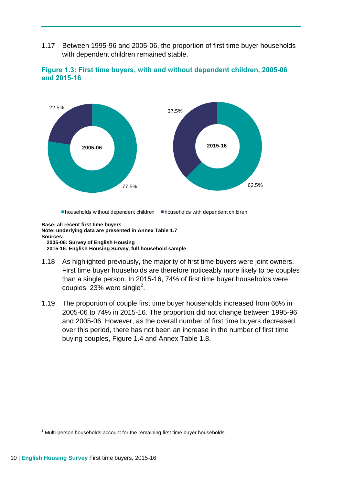1.17 Between 1995-96 and 2005-06, the proportion of first time buyer households with dependent children remained stable.





**Base: all recent first time buyers Note: underlying data are presented in Annex Table 1.7 Sources: 2005-06: Survey of English Housing 2015-16: English Housing Survey, full household sample**

- 1.18 As highlighted previously, the majority of first time buyers were joint owners. First time buyer households are therefore noticeably more likely to be couples than a single person. In 2015-16, 74% of first time buyer households were couples; 23% were single<sup>2</sup>.
- 1.19 The proportion of couple first time buyer households increased from 66% in 2005-06 to 74% in 2015-16. The proportion did not change between 1995-96 and 2005-06. However, as the overall number of first time buyers decreased over this period, there has not been an increase in the number of first time buying couples, Figure 1.4 and Annex Table 1.8.

1

<sup>&</sup>lt;sup>2</sup> Multi-person households account for the remaining first time buyer households.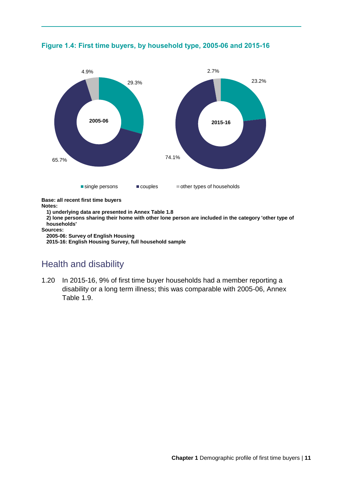

**Figure 1.4: First time buyers, by household type, 2005-06 and 2015-16**

**Base: all recent first time buyers**

**Notes:**

**1) underlying data are presented in Annex Table 1.8**

**2) lone persons sharing their home with other lone person are included in the category 'other type of households'**

**Sources:** 

**2005-06: Survey of English Housing**

**2015-16: English Housing Survey, full household sample**

### Health and disability

1.20 In 2015-16, 9% of first time buyer households had a member reporting a disability or a long term illness; this was comparable with 2005-06, Annex Table 1.9.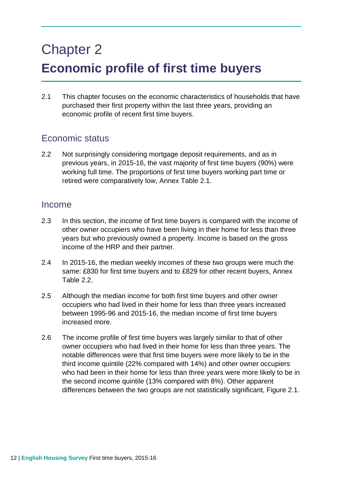# Chapter 2 **Economic profile of first time buyers**

2.1 This chapter focuses on the economic characteristics of households that have purchased their first property within the last three years, providing an economic profile of recent first time buyers.

### Economic status

2.2 Not surprisingly considering mortgage deposit requirements, and as in previous years, in 2015-16, the vast majority of first time buyers (90%) were working full time. The proportions of first time buyers working part time or retired were comparatively low, Annex Table 2.1.

#### Income

- 2.3 In this section, the income of first time buyers is compared with the income of other owner occupiers who have been living in their home for less than three years but who previously owned a property. Income is based on the gross income of the HRP and their partner.
- 2.4 In 2015-16, the median weekly incomes of these two groups were much the same: £830 for first time buyers and to £829 for other recent buyers, Annex Table 2.2.
- 2.5 Although the median income for both first time buyers and other owner occupiers who had lived in their home for less than three years increased between 1995-96 and 2015-16, the median income of first time buyers increased more.
- 2.6 The income profile of first time buyers was largely similar to that of other owner occupiers who had lived in their home for less than three years. The notable differences were that first time buyers were more likely to be in the third income quintile (22% compared with 14%) and other owner occupiers who had been in their home for less than three years were more likely to be in the second income quintile (13% compared with 8%). Other apparent differences between the two groups are not statistically significant, Figure 2.1.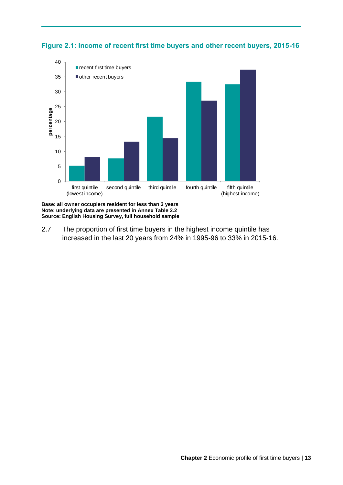



**Base: all owner occupiers resident for less than 3 years Note: underlying data are presented in Annex Table 2.2 Source: English Housing Survey, full household sample**

2.7 The proportion of first time buyers in the highest income quintile has increased in the last 20 years from 24% in 1995-96 to 33% in 2015-16.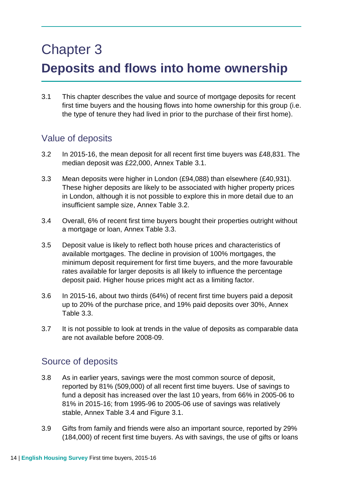# Chapter 3 **Deposits and flows into home ownership**

3.1 This chapter describes the value and source of mortgage deposits for recent first time buyers and the housing flows into home ownership for this group (i.e. the type of tenure they had lived in prior to the purchase of their first home).

### Value of deposits

- 3.2 In 2015-16, the mean deposit for all recent first time buyers was £48,831. The median deposit was £22,000, Annex Table 3.1.
- 3.3 Mean deposits were higher in London (£94,088) than elsewhere (£40,931). These higher deposits are likely to be associated with higher property prices in London, although it is not possible to explore this in more detail due to an insufficient sample size, Annex Table 3.2.
- 3.4 Overall, 6% of recent first time buyers bought their properties outright without a mortgage or loan, Annex Table 3.3.
- 3.5 Deposit value is likely to reflect both house prices and characteristics of available mortgages. The decline in provision of 100% mortgages, the minimum deposit requirement for first time buyers, and the more favourable rates available for larger deposits is all likely to influence the percentage deposit paid. Higher house prices might act as a limiting factor.
- 3.6 In 2015-16, about two thirds (64%) of recent first time buyers paid a deposit up to 20% of the purchase price, and 19% paid deposits over 30%, Annex Table 3.3.
- 3.7 It is not possible to look at trends in the value of deposits as comparable data are not available before 2008-09.

### Source of deposits

- 3.8 As in earlier years, savings were the most common source of deposit, reported by 81% (509,000) of all recent first time buyers. Use of savings to fund a deposit has increased over the last 10 years, from 66% in 2005-06 to 81% in 2015-16; from 1995-96 to 2005-06 use of savings was relatively stable, Annex Table 3.4 and Figure 3.1.
- 3.9 Gifts from family and friends were also an important source, reported by 29% (184,000) of recent first time buyers. As with savings, the use of gifts or loans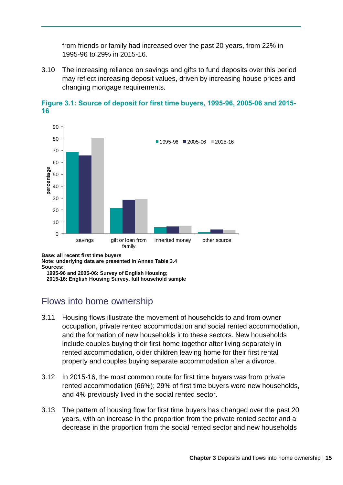from friends or family had increased over the past 20 years, from 22% in 1995-96 to 29% in 2015-16.

3.10 The increasing reliance on savings and gifts to fund deposits over this period may reflect increasing deposit values, driven by increasing house prices and changing mortgage requirements.





**Note: underlying data are presented in Annex Table 3.4 Sources:** 

**1995-96 and 2005-06: Survey of English Housing; 2015-16: English Housing Survey, full household sample**

### Flows into home ownership

- 3.11 Housing flows illustrate the movement of households to and from owner occupation, private rented accommodation and social rented accommodation, and the formation of new households into these sectors. New households include couples buying their first home together after living separately in rented accommodation, older children leaving home for their first rental property and couples buying separate accommodation after a divorce.
- 3.12 In 2015-16, the most common route for first time buyers was from private rented accommodation (66%); 29% of first time buyers were new households, and 4% previously lived in the social rented sector.
- 3.13 The pattern of housing flow for first time buyers has changed over the past 20 years, with an increase in the proportion from the private rented sector and a decrease in the proportion from the social rented sector and new households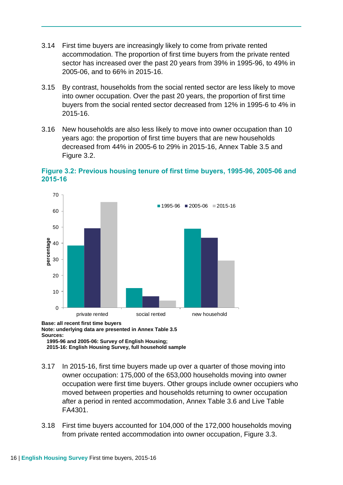- 3.14 First time buyers are increasingly likely to come from private rented accommodation. The proportion of first time buyers from the private rented sector has increased over the past 20 years from 39% in 1995-96, to 49% in 2005-06, and to 66% in 2015-16.
- 3.15 By contrast, households from the social rented sector are less likely to move into owner occupation. Over the past 20 years, the proportion of first time buyers from the social rented sector decreased from 12% in 1995-6 to 4% in 2015-16.
- 3.16 New households are also less likely to move into owner occupation than 10 years ago: the proportion of first time buyers that are new households decreased from 44% in 2005-6 to 29% in 2015-16, Annex Table 3.5 and Figure 3.2.



**Figure 3.2: Previous housing tenure of first time buyers, 1995-96, 2005-06 and 2015-16**

**Base: all recent first time buyers Note: underlying data are presented in Annex Table 3.5 Sources: 1995-96 and 2005-06: Survey of English Housing;**

**2015-16: English Housing Survey, full household sample**

- 3.17 In 2015-16, first time buyers made up over a quarter of those moving into owner occupation: 175,000 of the 653,000 households moving into owner occupation were first time buyers. Other groups include owner occupiers who moved between properties and households returning to owner occupation after a period in rented accommodation, Annex Table 3.6 and Live Table FA4301.
- 3.18 First time buyers accounted for 104,000 of the 172,000 households moving from private rented accommodation into owner occupation, Figure 3.3.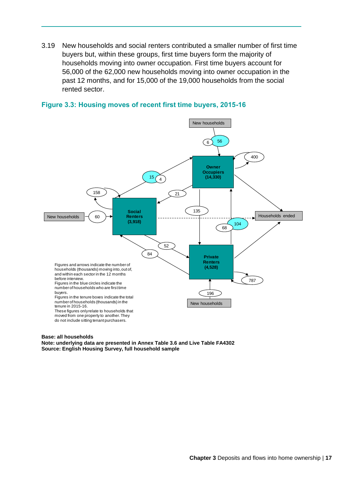3.19 New households and social renters contributed a smaller number of first time buyers but, within these groups, first time buyers form the majority of households moving into owner occupation. First time buyers account for 56,000 of the 62,000 new households moving into owner occupation in the past 12 months, and for 15,000 of the 19,000 households from the social rented sector.





#### **Base: all households**

**Note: underlying data are presented in Annex Table 3.6 and Live Table FA4302 Source: English Housing Survey, full household sample**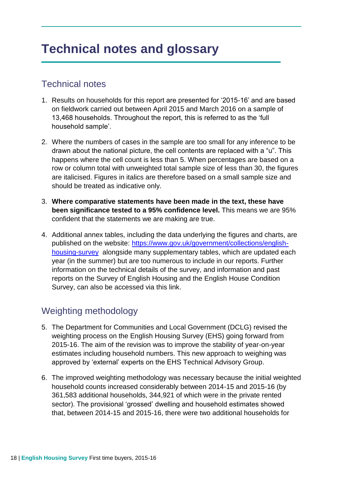## **Technical notes and glossary**

### Technical notes

- 1. Results on households for this report are presented for '2015-16' and are based on fieldwork carried out between April 2015 and March 2016 on a sample of 13,468 households. Throughout the report, this is referred to as the 'full household sample'.
- 2. Where the numbers of cases in the sample are too small for any inference to be drawn about the national picture, the cell contents are replaced with a "u". This happens where the cell count is less than 5. When percentages are based on a row or column total with unweighted total sample size of less than 30, the figures are italicised. Figures in italics are therefore based on a small sample size and should be treated as indicative only.
- 3. **Where comparative statements have been made in the text, these have been significance tested to a 95% confidence level.** This means we are 95% confident that the statements we are making are true.
- 4. Additional annex tables, including the data underlying the figures and charts, are published on the website: [https://www.gov.uk/government/collections/english](https://www.gov.uk/government/collections/english-housing-survey)[housing-survey](https://www.gov.uk/government/collections/english-housing-survey) alongside many supplementary tables, which are updated each year (in the summer) but are too numerous to include in our reports. Further information on the technical details of the survey, and information and past reports on the Survey of English Housing and the English House Condition Survey, can also be accessed via this link.

### Weighting methodology

- 5. The Department for Communities and Local Government (DCLG) revised the weighting process on the English Housing Survey (EHS) going forward from 2015-16. The aim of the revision was to improve the stability of year-on-year estimates including household numbers. This new approach to weighing was approved by 'external' experts on the EHS Technical Advisory Group.
- 6. The improved weighting methodology was necessary because the initial weighted household counts increased considerably between 2014-15 and 2015-16 (by 361,583 additional households, 344,921 of which were in the private rented sector). The provisional 'grossed' dwelling and household estimates showed that, between 2014-15 and 2015-16, there were two additional households for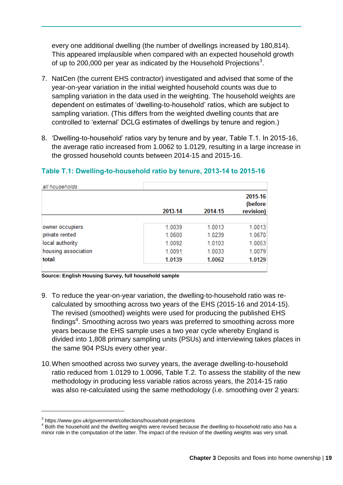every one additional dwelling (the number of dwellings increased by 180,814). This appeared implausible when compared with an expected household growth of up to 200,000 per year as indicated by the Household Projections<sup>3</sup>.

- 7. NatCen (the current EHS contractor) investigated and advised that some of the year-on-year variation in the initial weighted household counts was due to sampling variation in the data used in the weighting. The household weights are dependent on estimates of 'dwelling-to-household' ratios, which are subject to sampling variation. (This differs from the weighted dwelling counts that are controlled to 'external' DCLG estimates of dwellings by tenure and region.)
- 8. 'Dwelling-to-household' ratios vary by tenure and by year, Table T.1. In 2015-16, the average ratio increased from 1.0062 to 1.0129, resulting in a large increase in the grossed household counts between 2014-15 and 2015-16.

|                     | 2013-14 | 2014-15 | 2015-16<br>(before<br>revision) |
|---------------------|---------|---------|---------------------------------|
|                     |         |         |                                 |
| owner occupiers     | 1.0039  | 1.0013  | 1.0013                          |
| private rented      | 1.0600  | 1.0239  | 1.0670                          |
| local authority     | 1.0092  | 1.0103  | 1.0053                          |
| housing association | 1.0091  | 1.0033  | 1.0079                          |
| total               | 1.0139  | 1.0062  | 1.0129                          |

#### **Table T.1: Dwelling-to-household ratio by tenure, 2013-14 to 2015-16**

**Source: English Housing Survey, full household sample**

- 9. To reduce the year-on-year variation, the dwelling-to-household ratio was recalculated by smoothing across two years of the EHS (2015-16 and 2014-15). The revised (smoothed) weights were used for producing the published EHS findings<sup>4</sup>. Smoothing across two years was preferred to smoothing across more years because the EHS sample uses a two year cycle whereby England is divided into 1,808 primary sampling units (PSUs) and interviewing takes places in the same 904 PSUs every other year.
- 10.When smoothed across two survey years, the average dwelling-to-household ratio reduced from 1.0129 to 1.0096, Table T.2. To assess the stability of the new methodology in producing less variable ratios across years, the 2014-15 ratio was also re-calculated using the same methodology (i.e. smoothing over 2 years:

1

with the communications

<sup>3</sup> https://www.gov.uk/government/collections/household-projections

<sup>&</sup>lt;sup>4</sup> Both the household and the dwelling weights were revised because the dwelling-to-household ratio also has a minor role in the computation of the latter. The impact of the revision of the dwelling weights was very small.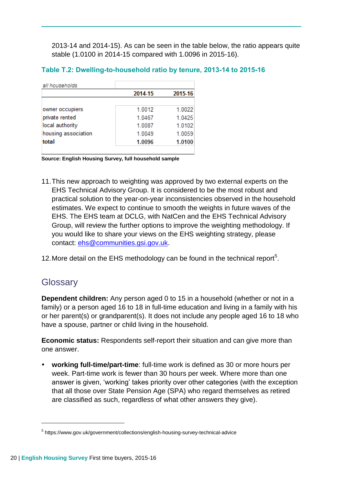2013-14 and 2014-15). As can be seen in the table below, the ratio appears quite stable (1.0100 in 2014-15 compared with 1.0096 in 2015-16).

#### **Table T.2: Dwelling-to-household ratio by tenure, 2013-14 to 2015-16**

| all households      |         |         |
|---------------------|---------|---------|
|                     | 2014-15 | 2015-16 |
|                     |         |         |
| owner occupiers     | 1.0012  | 1.0022  |
| private rented      | 1.0467  | 1 0425  |
| local authority     | 1.0087  | 1.0102  |
| housing association | 1.0049  | 1.0059  |
| total               | 1.0096  | 1.0100  |

**Source: English Housing Survey, full household sample**

11.This new approach to weighting was approved by two external experts on the EHS Technical Advisory Group. It is considered to be the most robust and practical solution to the year-on-year inconsistencies observed in the household estimates. We expect to continue to smooth the weights in future waves of the EHS. The EHS team at DCLG, with NatCen and the EHS Technical Advisory Group, will review the further options to improve the weighting methodology. If you would like to share your views on the EHS weighting strategy, please contact: [ehs@communities.gsi.gov.uk.](mailto:ehs@communities.gsi.gov.uk)

12. More detail on the EHS methodology can be found in the technical report<sup>5</sup>.

### **Glossary**

1

**Dependent children:** Any person aged 0 to 15 in a household (whether or not in a family) or a person aged 16 to 18 in full-time education and living in a family with his or her parent(s) or grandparent(s). It does not include any people aged 16 to 18 who have a spouse, partner or child living in the household.

**Economic status:** Respondents self-report their situation and can give more than one answer.

 **working full-time/part-time**: full-time work is defined as 30 or more hours per week. Part-time work is fewer than 30 hours per week. Where more than one answer is given, 'working' takes priority over other categories (with the exception that all those over State Pension Age (SPA) who regard themselves as retired are classified as such, regardless of what other answers they give).

<sup>&</sup>lt;sup>5</sup> https://www.gov.uk/government/collections/english-housing-survey-technical-advice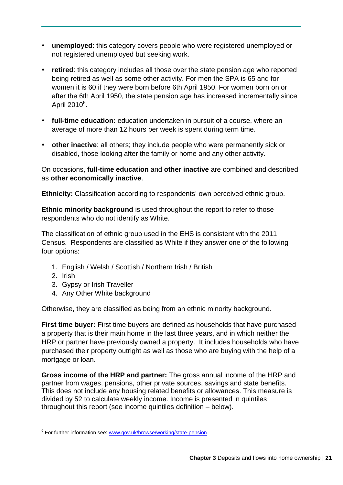- **unemployed**: this category covers people who were registered unemployed or not registered unemployed but seeking work.
- **retired**: this category includes all those over the state pension age who reported being retired as well as some other activity. For men the SPA is 65 and for women it is 60 if they were born before 6th April 1950. For women born on or after the 6th April 1950, the state pension age has increased incrementally since April 2010<sup>6</sup>.
- **full-time education:** education undertaken in pursuit of a course, where an average of more than 12 hours per week is spent during term time.
- **other inactive**: all others; they include people who were permanently sick or disabled, those looking after the family or home and any other activity.

On occasions, **full-time education** and **other inactive** are combined and described as **other economically inactive**.

**Ethnicity:** Classification according to respondents' own perceived ethnic group.

**Ethnic minority background** is used throughout the report to refer to those respondents who do not identify as White.

The classification of ethnic group used in the EHS is consistent with the 2011 Census. Respondents are classified as White if they answer one of the following four options:

- 1. English / Welsh / Scottish / Northern Irish / British
- 2. Irish

1

- 3. Gypsy or Irish Traveller
- 4. Any Other White background

Otherwise, they are classified as being from an ethnic minority background.

**First time buyer:** First time buyers are defined as households that have purchased a property that is their main home in the last three years, and in which neither the HRP or partner have previously owned a property. It includes households who have purchased their property outright as well as those who are buying with the help of a mortgage or loan.

**Gross income of the HRP and partner:** The gross annual income of the HRP and partner from wages, pensions, other private sources, savings and state benefits. This does not include any housing related benefits or allowances. This measure is divided by 52 to calculate weekly income. Income is presented in quintiles throughout this report (see income quintiles definition – below).

<sup>&</sup>lt;sup>6</sup> For further information see: [www.gov.uk/browse/working/state-pension](http://www.gov.uk/browse/working/state-pension)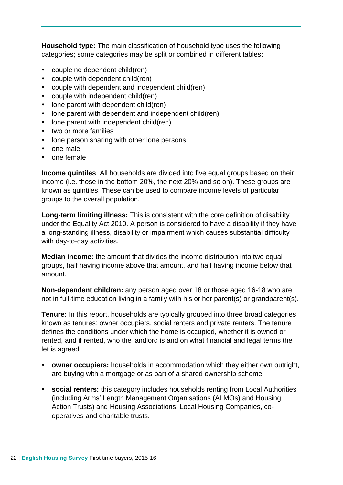**Household type:** The main classification of household type uses the following categories; some categories may be split or combined in different tables:

- couple no dependent child(ren)
- couple with dependent child(ren)
- couple with dependent and independent child(ren)
- couple with independent child(ren)
- lone parent with dependent child(ren)
- lone parent with dependent and independent child(ren)
- lone parent with independent child(ren)
- two or more families
- lone person sharing with other lone persons
- one male
- $\cdot$  one female

**Income quintiles**: All households are divided into five equal groups based on their income (i.e. those in the bottom 20%, the next 20% and so on). These groups are known as quintiles. These can be used to compare income levels of particular groups to the overall population.

**Long-term limiting illness:** This is consistent with the core definition of disability under the Equality Act 2010. A person is considered to have a disability if they have a long-standing illness, disability or impairment which causes substantial difficulty with day-to-day activities.

**Median income:** the amount that divides the income distribution into two equal groups, half having income above that amount, and half having income below that amount.

**Non-dependent children:** any person aged over 18 or those aged 16-18 who are not in full-time education living in a family with his or her parent(s) or grandparent(s).

**Tenure:** In this report, households are typically grouped into three broad categories known as tenures: owner occupiers, social renters and private renters. The tenure defines the conditions under which the home is occupied, whether it is owned or rented, and if rented, who the landlord is and on what financial and legal terms the let is agreed.

- **owner occupiers:** households in accommodation which they either own outright, are buying with a mortgage or as part of a shared ownership scheme.
- **social renters:** this category includes households renting from Local Authorities (including Arms' Length Management Organisations (ALMOs) and Housing Action Trusts) and Housing Associations, Local Housing Companies, cooperatives and charitable trusts.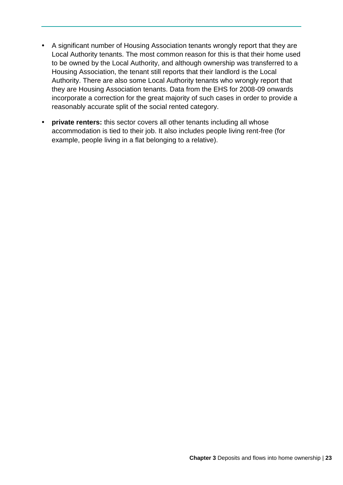- A significant number of Housing Association tenants wrongly report that they are Local Authority tenants. The most common reason for this is that their home used to be owned by the Local Authority, and although ownership was transferred to a Housing Association, the tenant still reports that their landlord is the Local Authority. There are also some Local Authority tenants who wrongly report that they are Housing Association tenants. Data from the EHS for 2008-09 onwards incorporate a correction for the great majority of such cases in order to provide a reasonably accurate split of the social rented category.
- **private renters:** this sector covers all other tenants including all whose accommodation is tied to their job. It also includes people living rent-free (for example, people living in a flat belonging to a relative).